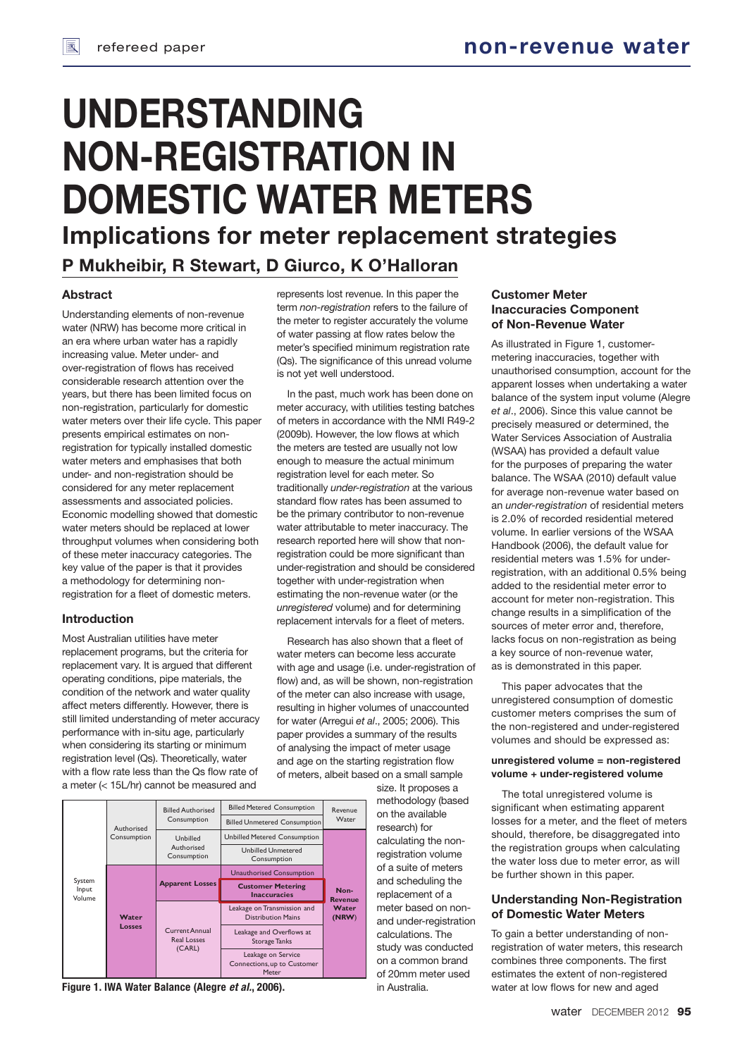# **UNDERSTANDING NON-REGISTRATION IN DOMESTIC WATER METERS**

**Implications for meter replacement strategies**

# **P Mukheibir, R Stewart, D Giurco, K O'Halloran**

## **Abstract**

Understanding elements of non-revenue water (NRW) has become more critical in an era where urban water has a rapidly increasing value. Meter under- and over-registration of flows has received considerable research attention over the years, but there has been limited focus on non-registration, particularly for domestic water meters over their life cycle. This paper presents empirical estimates on nonregistration for typically installed domestic water meters and emphasises that both under- and non-registration should be considered for any meter replacement assessments and associated policies. Economic modelling showed that domestic water meters should be replaced at lower throughput volumes when considering both of these meter inaccuracy categories. The key value of the paper is that it provides a methodology for determining nonregistration for a fleet of domestic meters.

## **Introduction**

Most Australian utilities have meter replacement programs, but the criteria for replacement vary. It is argued that different operating conditions, pipe materials, the condition of the network and water quality affect meters differently. However, there is still limited understanding of meter accuracy performance with in-situ age, particularly when considering its starting or minimum registration level (Qs). Theoretically, water with a flow rate less than the Qs flow rate of a meter (< 15L/hr) cannot be measured and

represents lost revenue. In this paper the term *non-registration* refers to the failure of the meter to register accurately the volume of water passing at flow rates below the meter's specified minimum registration rate (Qs). The significance of this unread volume is not yet well understood.

In the past, much work has been done on meter accuracy, with utilities testing batches of meters in accordance with the NMI R49-2 (2009b). However, the low flows at which the meters are tested are usually not low enough to measure the actual minimum registration level for each meter. So traditionally *under-registration* at the various standard flow rates has been assumed to be the primary contributor to non-revenue water attributable to meter inaccuracy. The research reported here will show that nonregistration could be more significant than under-registration and should be considered together with under-registration when estimating the non-revenue water (or the *unregistered* volume) and for determining replacement intervals for a fleet of meters.

Research has also shown that a fleet of water meters can become less accurate with age and usage (i.e. under-registration of flow) and, as will be shown, non-registration of the meter can also increase with usage, resulting in higher volumes of unaccounted for water (Arregui *et al*., 2005; 2006). This paper provides a summary of the results of analysing the impact of meter usage and age on the starting registration flow of meters, albeit based on a small sample

> size. It proposes a methodology (based on the available research) for calculating the nonregistration volume of a suite of meters and scheduling the replacement of a meter based on nonand under-registration calculations. The study was conducted on a common brand of 20mm meter used in Australia.



**Figure 1. IWA Water Balance (Alegre** *et al.***, 2006).**

## **Customer Meter Inaccuracies Component of Non-Revenue Water**

As illustrated in Figure 1, customermetering inaccuracies, together with unauthorised consumption, account for the apparent losses when undertaking a water balance of the system input volume (Alegre *et al*., 2006). Since this value cannot be precisely measured or determined, the Water Services Association of Australia (WSAA) has provided a default value for the purposes of preparing the water balance. The WSAA (2010) default value for average non-revenue water based on an *under-registration* of residential meters is 2.0% of recorded residential metered volume. In earlier versions of the WSAA Handbook (2006), the default value for residential meters was 1.5% for underregistration, with an additional 0.5% being added to the residential meter error to account for meter non-registration. This change results in a simplification of the sources of meter error and, therefore, lacks focus on non-registration as being a key source of non-revenue water, as is demonstrated in this paper.

This paper advocates that the unregistered consumption of domestic customer meters comprises the sum of the non-registered and under-registered volumes and should be expressed as:

## **unregistered volume = non-registered volume + under-registered volume**

The total unregistered volume is significant when estimating apparent losses for a meter, and the fleet of meters should, therefore, be disaggregated into the registration groups when calculating the water loss due to meter error, as will be further shown in this paper.

## **Understanding Non-Registration of Domestic Water Meters**

To gain a better understanding of nonregistration of water meters, this research combines three components. The first estimates the extent of non-registered water at low flows for new and aged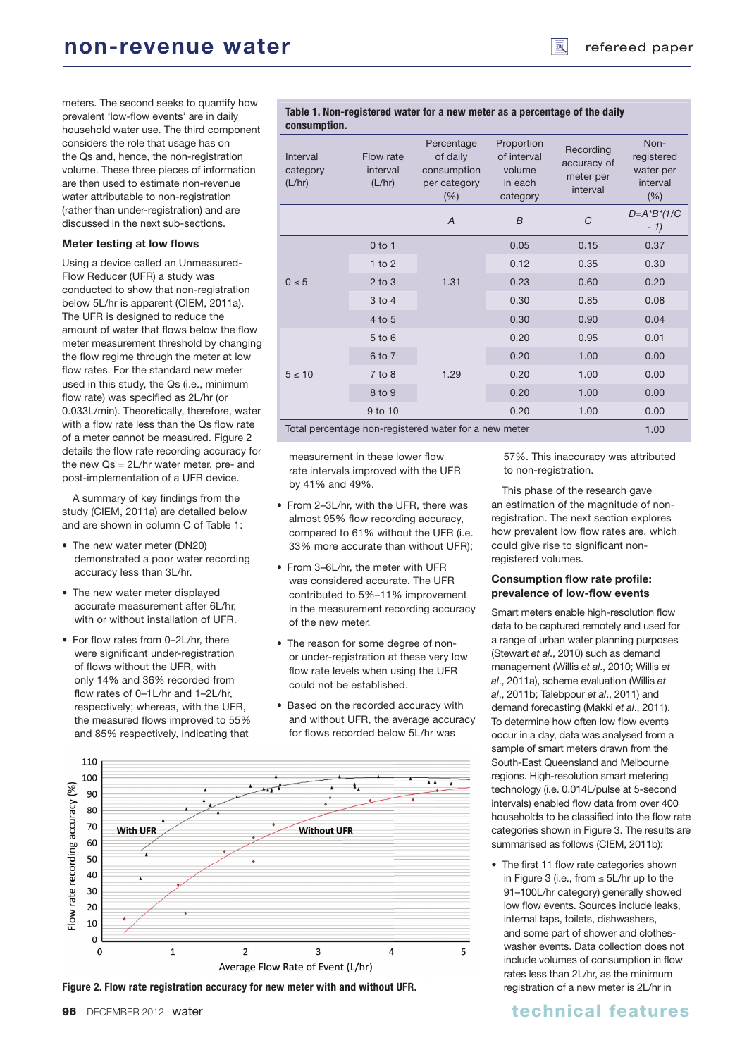meters. The second seeks to quantify how prevalent 'low-flow events' are in daily household water use. The third component considers the role that usage has on the Qs and, hence, the non-registration volume. These three pieces of information are then used to estimate non-revenue water attributable to non-registration (rather than under-registration) and are discussed in the next sub-sections.

## **Meter testing at low flows**

Using a device called an Unmeasured-Flow Reducer (UFR) a study was conducted to show that non-registration below 5L/hr is apparent (CIEM, 2011a). The UFR is designed to reduce the amount of water that flows below the flow meter measurement threshold by changing the flow regime through the meter at low flow rates. For the standard new meter used in this study, the Qs (i.e., minimum flow rate) was specified as 2L/hr (or 0.033L/min). Theoretically, therefore, water with a flow rate less than the Qs flow rate of a meter cannot be measured. Figure 2 details the flow rate recording accuracy for the new Qs = 2L/hr water meter, pre- and post-implementation of a UFR device.

A summary of key findings from the study (CIEM, 2011a) are detailed below and are shown in column C of Table 1:

- The new water meter (DN20) demonstrated a poor water recording accuracy less than 3L/hr.
- The new water meter displayed accurate measurement after 6L/hr, with or without installation of UFR.
- For flow rates from 0-2L/hr, there were significant under-registration of flows without the UFR, with only 14% and 36% recorded from flow rates of 0-1L/hr and 1-2L/hr, respectively; whereas, with the UFR, the measured flows improved to 55% and 85% respectively, indicating that

Table 1. Non-registered water for a new meter as a percentage of the daily **consumption.**

| Interval<br>category<br>(L/hr)                                | Flow rate<br>interval<br>(L/hr) | Percentage<br>of daily<br>consumption<br>per category<br>(% ) | Proportion<br>of interval<br>volume<br>in each<br>category | Recording<br>accuracy of<br>meter per<br>interval | Non-<br>registered<br>water per<br>interval<br>(% ) |
|---------------------------------------------------------------|---------------------------------|---------------------------------------------------------------|------------------------------------------------------------|---------------------------------------------------|-----------------------------------------------------|
|                                                               |                                 | $\overline{A}$                                                | $\overline{B}$                                             | C                                                 | $D = A^*B^*(1/C)$<br>$-1)$                          |
|                                                               | $0$ to 1                        |                                                               | 0.05                                                       | 0.15                                              | 0.37                                                |
|                                                               | 1 to $2$                        |                                                               | 0.12                                                       | 0.35                                              | 0.30                                                |
| $0 \leq 5$                                                    | $2$ to $3$                      | 1.31                                                          | 0.23                                                       | 0.60                                              | 0.20                                                |
|                                                               | $3$ to $4$                      |                                                               | 0.30                                                       | 0.85                                              | 0.08                                                |
|                                                               | 4 to 5                          |                                                               | 0.30                                                       | 0.90                                              | 0.04                                                |
| $5 \leq 10$                                                   | $5$ to $6$                      |                                                               | 0.20                                                       | 0.95                                              | 0.01                                                |
|                                                               | 6 to 7                          |                                                               | 0.20                                                       | 1.00                                              | 0.00                                                |
|                                                               | $7$ to $8$                      | 1.29                                                          | 0.20                                                       | 1.00                                              | 0.00                                                |
|                                                               | 8 to 9                          |                                                               | 0.20                                                       | 1.00                                              | 0.00                                                |
|                                                               | 9 to 10                         |                                                               | 0.20                                                       | 1.00                                              | 0.00                                                |
| Total percentage non-registered water for a new meter<br>1.00 |                                 |                                                               |                                                            |                                                   |                                                     |

measurement in these lower flow rate intervals improved with the UFR by 41% and 49%.

- From 2-3L/hr, with the UFR, there was almost 95% flow recording accuracy, compared to 61% without the UFR (i.e. 33% more accurate than without UFR);
- From 3-6L/hr, the meter with UFR was considered accurate. The UFR contributed to 5%–11% improvement in the measurement recording accuracy of the new meter.
- The reason for some degree of nonor under-registration at these very low flow rate levels when using the UFR could not be established.
- Based on the recorded accuracy with and without UFR, the average accuracy for flows recorded below 5L/hr was





57%. This inaccuracy was attributed to non-registration.

This phase of the research gave an estimation of the magnitude of nonregistration. The next section explores how prevalent low flow rates are, which could give rise to significant nonregistered volumes.

## **Consumption flow rate profile:** prevalence of low-flow events

Smart meters enable high-resolution flow data to be captured remotely and used for a range of urban water planning purposes (Stewart *et al*., 2010) such as demand management (Willis *et al*., 2010; Willis *et al*., 2011a), scheme evaluation (Willis *et al*., 2011b; Talebpour *et al*., 2011) and demand forecasting (Makki *et al*., 2011). To determine how often low flow events occur in a day, data was analysed from a sample of smart meters drawn from the South-East Queensland and Melbourne regions. High-resolution smart metering technology (i.e. 0.014L/pulse at 5-second intervals) enabled flow data from over 400 households to be classified into the flow rate categories shown in Figure 3. The results are summarised as follows (CIEM, 2011b):

• The first 11 flow rate categories shown in Figure 3 (i.e., from ≤ 5L/hr up to the 91–100L/hr category) generally showed low flow events. Sources include leaks, internal taps, toilets, dishwashers, and some part of shower and clotheswasher events. Data collection does not include volumes of consumption in flow rates less than 2L/hr, as the minimum registration of a new meter is 2L/hr in

## **96** DECEMBER 2012 water the control of the control of the children technical features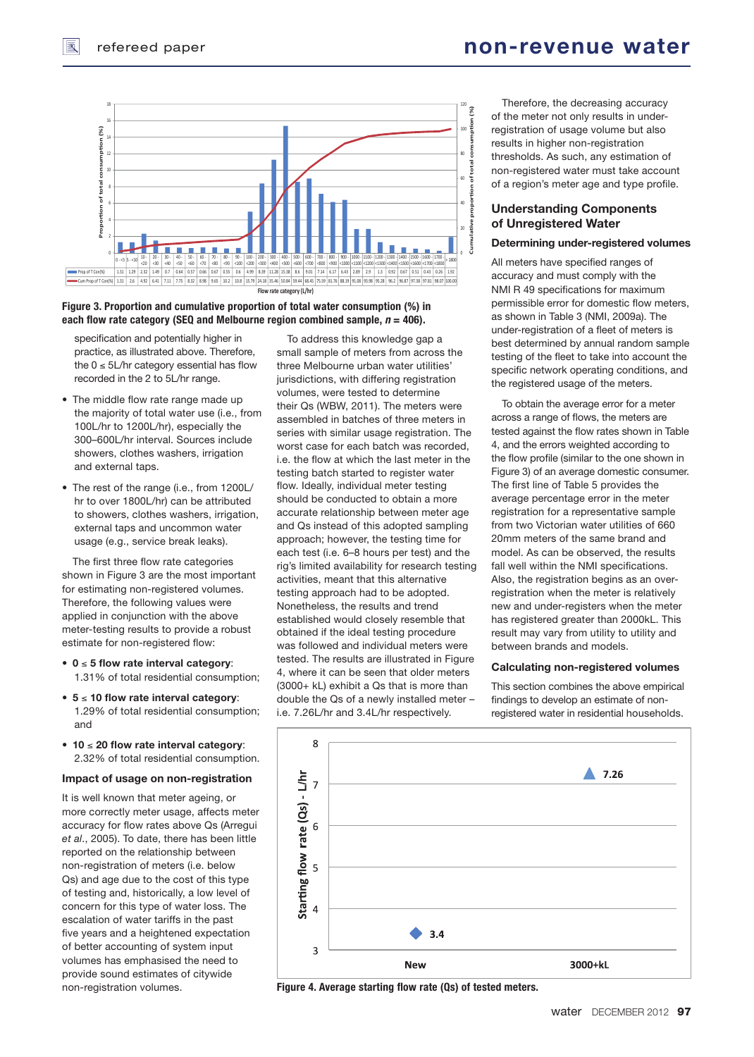

Figure 3. Proportion and cumulative proportion of total water consumption (%) in **each flow rate category (SEQ and Melbourne region combined sample,**  $n = 406$ **).** 

specification and potentially higher in practice, as illustrated above. Therefore, the  $0 \leq 5$ L/hr category essential has flow recorded in the 2 to 5L/hr range.

- The middle flow rate range made up the majority of total water use (i.e., from 100L/hr to 1200L/hr), especially the 300–600L/hr interval. Sources include showers, clothes washers, irrigation and external taps.
- The rest of the range (i.e., from 1200L/ hr to over 1800L/hr) can be attributed to showers, clothes washers, irrigation, external taps and uncommon water usage (e.g., service break leaks).

The first three flow rate categories shown in Figure 3 are the most important for estimating non-registered volumes. Therefore, the following values were applied in conjunction with the above meter-testing results to provide a robust estimate for non-registered flow:

- • **0** ≤ **5 fl ow rate interval category**: 1.31% of total residential consumption;
- • **5** ≤ **10 fl ow rate interval category**: 1.29% of total residential consumption; and
- **10** ≤ **20 fl ow rate interval category**: 2.32% of total residential consumption.

## **Impact of usage on non-registration**

It is well known that meter ageing, or more correctly meter usage, affects meter accuracy for flow rates above Qs (Arregui *et al*., 2005). To date, there has been little reported on the relationship between non-registration of meters (i.e. below Qs) and age due to the cost of this type of testing and, historically, a low level of concern for this type of water loss. The escalation of water tariffs in the past five years and a heightened expectation of better accounting of system input volumes has emphasised the need to provide sound estimates of citywide non-registration volumes.

To address this knowledge gap a small sample of meters from across the three Melbourne urban water utilities' jurisdictions, with differing registration volumes, were tested to determine their Qs (WBW, 2011). The meters were assembled in batches of three meters in series with similar usage registration. The worst case for each batch was recorded, i.e. the flow at which the last meter in the testing batch started to register water flow. Ideally, individual meter testing should be conducted to obtain a more accurate relationship between meter age and Qs instead of this adopted sampling approach; however, the testing time for each test (i.e. 6–8 hours per test) and the rig's limited availability for research testing activities, meant that this alternative testing approach had to be adopted. Nonetheless, the results and trend established would closely resemble that obtained if the ideal testing procedure was followed and individual meters were tested. The results are illustrated in Figure 4, where it can be seen that older meters (3000+ kL) exhibit a Qs that is more than double the Qs of a newly installed meter – i.e. 7.26L/hr and 3.4L/hr respectively.

 Therefore, the decreasing accuracy of the meter not only results in underregistration of usage volume but also results in higher non-registration thresholds. As such, any estimation of non-registered water must take account of a region's meter age and type profile.

## **Understanding Components of Unregistered Water**

#### **Determining under-registered volumes**

All meters have specified ranges of accuracy and must comply with the NMI R 49 specifications for maximum permissible error for domestic flow meters, as shown in Table 3 (NMI, 2009a). The under-registration of a fleet of meters is best determined by annual random sample testing of the fleet to take into account the specific network operating conditions, and the registered usage of the meters.

 To obtain the average error for a meter across a range of flows, the meters are tested against the flow rates shown in Table 4, and the errors weighted according to the flow profile (similar to the one shown in Figure 3) of an average domestic consumer. The first line of Table 5 provides the average percentage error in the meter registration for a representative sample from two Victorian water utilities of 660 20mm meters of the same brand and model. As can be observed, the results fall well within the NMI specifications. Also, the registration begins as an overregistration when the meter is relatively new and under-registers when the meter has registered greater than 2000kL. This result may vary from utility to utility and between brands and models.

#### **Calculating non-registered volumes**

This section combines the above empirical findings to develop an estimate of nonregistered water in residential households.



Figure 4. Average starting flow rate (Qs) of tested meters.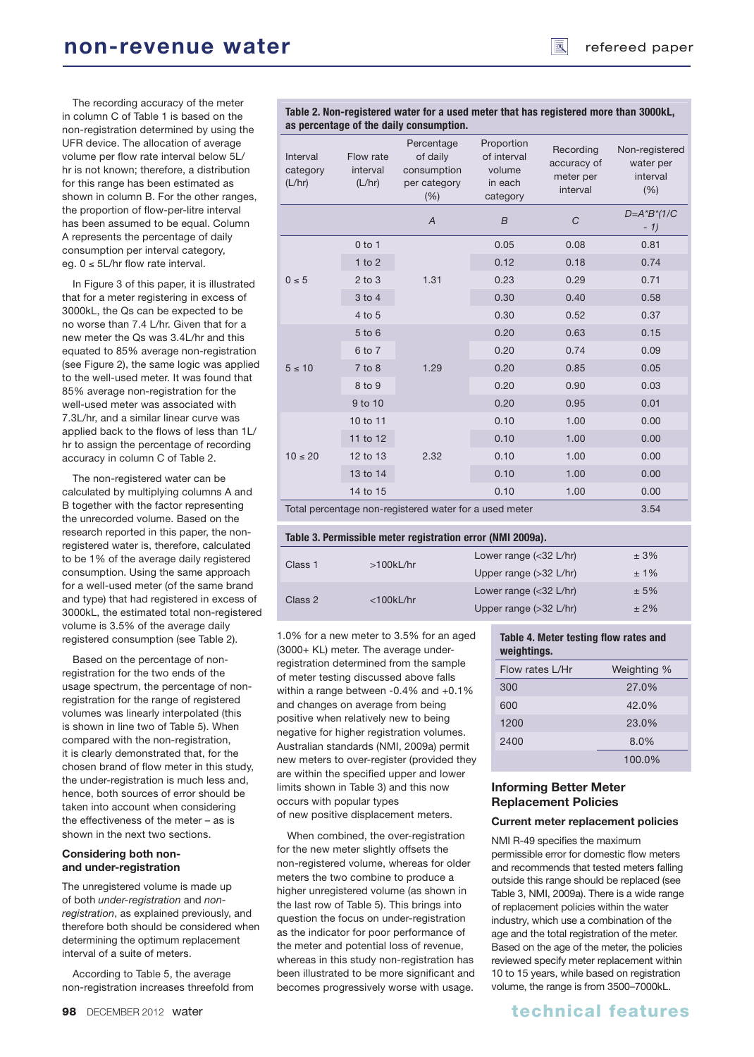The recording accuracy of the meter in column C of Table 1 is based on the non-registration determined by using the UFR device. The allocation of average volume per flow rate interval below 5L/ hr is not known; therefore, a distribution for this range has been estimated as shown in column B. For the other ranges, the proportion of flow-per-litre interval has been assumed to be equal. Column A represents the percentage of daily consumption per interval category, eg. 0 ≤ 5L/hr flow rate interval.

In Figure 3 of this paper, it is illustrated that for a meter registering in excess of 3000kL, the Qs can be expected to be no worse than 7.4 L/hr. Given that for a new meter the Qs was 3.4L/hr and this equated to 85% average non-registration (see Figure 2), the same logic was applied to the well-used meter. It was found that 85% average non-registration for the well-used meter was associated with 7.3L/hr, and a similar linear curve was applied back to the flows of less than 1L/ hr to assign the percentage of recording accuracy in column C of Table 2.

The non-registered water can be calculated by multiplying columns A and B together with the factor representing the unrecorded volume. Based on the research reported in this paper, the nonregistered water is, therefore, calculated to be 1% of the average daily registered consumption. Using the same approach for a well-used meter (of the same brand and type) that had registered in excess of 3000kL, the estimated total non-registered volume is 3.5% of the average daily registered consumption (see Table 2).

Based on the percentage of nonregistration for the two ends of the usage spectrum, the percentage of nonregistration for the range of registered volumes was linearly interpolated (this is shown in line two of Table 5). When compared with the non-registration, it is clearly demonstrated that, for the chosen brand of flow meter in this study, the under-registration is much less and, hence, both sources of error should be taken into account when considering the effectiveness of the meter – as is shown in the next two sections.

## **Considering both nonand under-registration**

The unregistered volume is made up of both *under-registration* and *nonregistration*, as explained previously, and therefore both should be considered when determining the optimum replacement interval of a suite of meters.

According to Table 5, the average non-registration increases threefold from

**Table 2. Non-registered water for a used meter that has registered more than 3000kL, as percentage of the daily consumption.**

| Interval<br>category<br>(L/hr)                                 | Flow rate<br>interval<br>(L/hr) | Percentage<br>of daily<br>consumption<br>per category<br>(% ) | Proportion<br>of interval<br>volume<br>in each<br>category | Recording<br>accuracy of<br>meter per<br>interval | Non-registered<br>water per<br>interval<br>(% ) |
|----------------------------------------------------------------|---------------------------------|---------------------------------------------------------------|------------------------------------------------------------|---------------------------------------------------|-------------------------------------------------|
|                                                                |                                 | $\overline{A}$                                                | $\overline{B}$                                             | $\mathcal{C}$                                     | $D = A^*B^*(1/C)$<br>$-1)$                      |
|                                                                | $0$ to 1                        |                                                               | 0.05                                                       | 0.08                                              | 0.81                                            |
|                                                                | $1$ to $2$                      |                                                               | 0.12                                                       | 0.18                                              | 0.74                                            |
| $0 \leq 5$                                                     | $2$ to $3$                      | 1.31                                                          | 0.23                                                       | 0.29                                              | 0.71                                            |
|                                                                | 3 to 4                          |                                                               | 0.30                                                       | 0.40                                              | 0.58                                            |
|                                                                | 4 to 5                          |                                                               | 0.30                                                       | 0.52                                              | 0.37                                            |
|                                                                | 5 to 6                          |                                                               | 0.20                                                       | 0.63                                              | 0.15                                            |
|                                                                | 6 to 7                          |                                                               | 0.20                                                       | 0.74                                              | 0.09                                            |
| $5 \leq 10$                                                    | $7$ to $8$                      | 1.29                                                          | 0.20                                                       | 0.85                                              | 0.05                                            |
|                                                                | 8 to 9                          |                                                               | 0.20                                                       | 0.90                                              | 0.03                                            |
|                                                                | 9 to 10                         |                                                               | 0.20                                                       | 0.95                                              | 0.01                                            |
| $10 \leq 20$                                                   | 10 to 11                        |                                                               | 0.10                                                       | 1.00                                              | 0.00                                            |
|                                                                | 11 to 12                        |                                                               | 0.10                                                       | 1.00                                              | 0.00                                            |
|                                                                | 12 to 13                        | 2.32                                                          | 0.10                                                       | 1.00                                              | 0.00                                            |
|                                                                | 13 to 14                        |                                                               | 0.10                                                       | 1.00                                              | 0.00                                            |
|                                                                | 14 to 15                        |                                                               | 0.10                                                       | 1.00                                              | 0.00                                            |
| Total percentage non-registered water for a used meter<br>3.54 |                                 |                                                               |                                                            |                                                   |                                                 |

| Table 3. Permissible meter registration error (NMI 2009a). |                  |                                  |        |  |  |
|------------------------------------------------------------|------------------|----------------------------------|--------|--|--|
| Class 1                                                    | $>100$ k $L/hr$  | Lower range $(32 L/hr)$          | ± 3%   |  |  |
|                                                            |                  | Upper range $(>32 \text{ L/hr})$ | ±1%    |  |  |
| Class 2                                                    | $<$ 100 $k$ L/hr | Lower range $(32 L/hr)$          | ± 5%   |  |  |
|                                                            |                  | Upper range $(>32 \text{ L/hr})$ | $±2\%$ |  |  |

1.0% for a new meter to 3.5% for an aged (3000+ KL) meter. The average underregistration determined from the sample of meter testing discussed above falls within a range between -0.4% and +0.1% and changes on average from being positive when relatively new to being negative for higher registration volumes. Australian standards (NMI, 2009a) permit new meters to over-register (provided they are within the specified upper and lower limits shown in Table 3) and this now occurs with popular types of new positive displacement meters.

When combined, the over-registration for the new meter slightly offsets the non-registered volume, whereas for older meters the two combine to produce a higher unregistered volume (as shown in the last row of Table 5). This brings into question the focus on under-registration as the indicator for poor performance of the meter and potential loss of revenue, whereas in this study non-registration has been illustrated to be more significant and becomes progressively worse with usage.

## **Table 4. Meter testing flow rates and weightings.**

| Flow rates I /Hr | Weighting % |
|------------------|-------------|
| 300              | 27.0%       |
| 600              | 42.0%       |
| 1200             | 23.0%       |
| 2400             | 8.0%        |
|                  | 100.0%      |

## **Informing Better Meter Replacement Policies**

## **Current meter replacement policies**

NMI R-49 specifies the maximum permissible error for domestic flow meters and recommends that tested meters falling outside this range should be replaced (see Table 3, NMI, 2009a). There is a wide range of replacement policies within the water industry, which use a combination of the age and the total registration of the meter. Based on the age of the meter, the policies reviewed specify meter replacement within 10 to 15 years, while based on registration volume, the range is from 3500–7000kL.

# **98** DECEMBER 2012 water the control of the control of the children technical features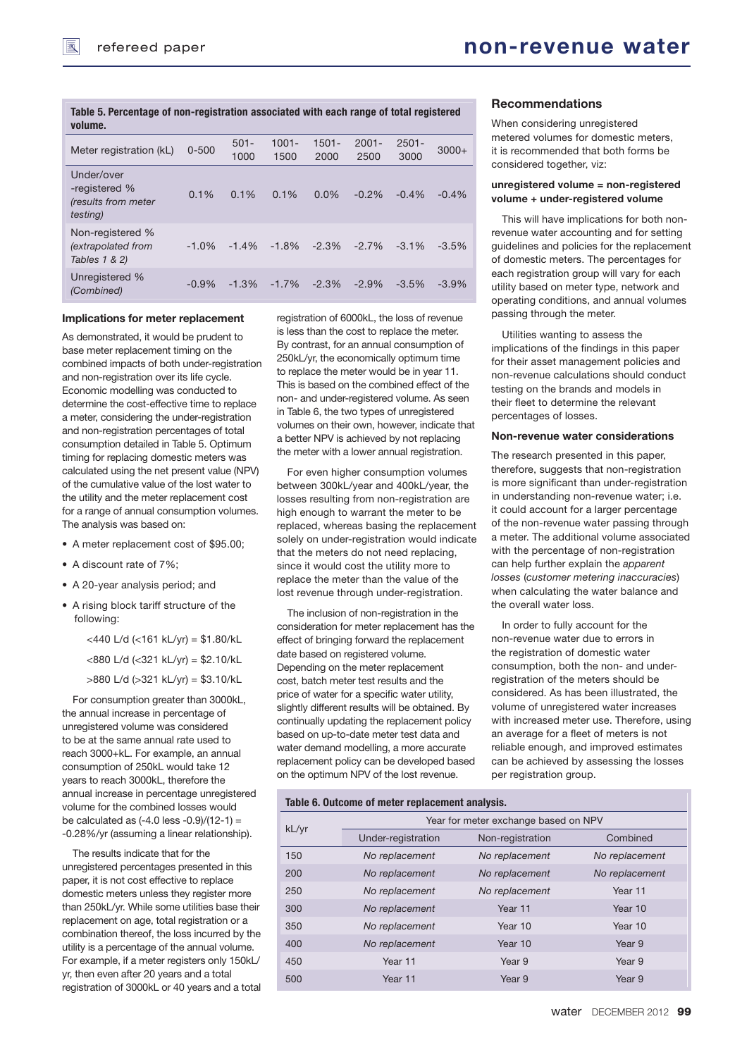#### **Table 5. Percentage of non-registration associated with each range of total registered volume.**

| Meter registration (kL)                                                | $0 - 500$ | $501 -$<br>1000 | $1001 -$<br>1500 | $1501 -$<br>2000 | $2001 -$<br>2500 | $2501 -$<br>3000 | $3000+$ |
|------------------------------------------------------------------------|-----------|-----------------|------------------|------------------|------------------|------------------|---------|
| Under/over<br>-registered %<br>(results from meter<br><i>testing</i> ) | 0.1%      | 0.1%            | 0.1%             | $0.0\%$          | $-0.2%$          | $-0.4%$          | $-0.4%$ |
| Non-registered %<br>(extrapolated from<br>Tables 1 & 2)                | $-1.0\%$  | $-1.4\%$        | $-1.8%$          | $-2.3\%$         | $-2.7\%$         | $-3.1\%$         | $-3.5%$ |
| Unregistered %<br>(Combined)                                           | $-0.9%$   | $-1.3%$         | $-1.7%$          | $-2.3%$          | $-2.9%$          | $-3.5%$          | $-3.9%$ |

### **Implications for meter replacement**

As demonstrated, it would be prudent to base meter replacement timing on the combined impacts of both under-registration and non-registration over its life cycle. Economic modelling was conducted to determine the cost-effective time to replace a meter, considering the under-registration and non-registration percentages of total consumption detailed in Table 5. Optimum timing for replacing domestic meters was calculated using the net present value (NPV) of the cumulative value of the lost water to the utility and the meter replacement cost for a range of annual consumption volumes. The analysis was based on:

- A meter replacement cost of \$95.00;
- A discount rate of 7%:
- A 20-year analysis period; and
- A rising block tariff structure of the following:
	- <440 L/d (<161 kL/yr) = \$1.80/kL
	- <880 L/d (<321 kL/yr) = \$2.10/kL
	- >880 L/d (>321 kL/yr) = \$3.10/kL

For consumption greater than 3000kL, the annual increase in percentage of unregistered volume was considered to be at the same annual rate used to reach 3000+kL. For example, an annual consumption of 250kL would take 12 years to reach 3000kL, therefore the annual increase in percentage unregistered volume for the combined losses would be calculated as  $(-4.0 \text{ less } -0.9)/(12-1) =$ -0.28%/yr (assuming a linear relationship).

The results indicate that for the unregistered percentages presented in this paper, it is not cost effective to replace domestic meters unless they register more than 250kL/yr. While some utilities base their replacement on age, total registration or a combination thereof, the loss incurred by the utility is a percentage of the annual volume. For example, if a meter registers only 150kL/ yr, then even after 20 years and a total registration of 3000kL or 40 years and a total

registration of 6000kL, the loss of revenue is less than the cost to replace the meter. By contrast, for an annual consumption of 250kL/yr, the economically optimum time to replace the meter would be in year 11. This is based on the combined effect of the non- and under-registered volume. As seen in Table 6, the two types of unregistered volumes on their own, however, indicate that a better NPV is achieved by not replacing the meter with a lower annual registration.

For even higher consumption volumes between 300kL/year and 400kL/year, the losses resulting from non-registration are high enough to warrant the meter to be replaced, whereas basing the replacement solely on under-registration would indicate that the meters do not need replacing, since it would cost the utility more to replace the meter than the value of the lost revenue through under-registration.

The inclusion of non-registration in the consideration for meter replacement has the effect of bringing forward the replacement date based on registered volume. Depending on the meter replacement cost, batch meter test results and the price of water for a specific water utility, slightly different results will be obtained. By continually updating the replacement policy based on up-to-date meter test data and water demand modelling, a more accurate replacement policy can be developed based on the optimum NPV of the lost revenue.

### **Recommendations**

When considering unregistered metered volumes for domestic meters, it is recommended that both forms be considered together, viz:

#### **unregistered volume = non-registered volume + under-registered volume**

This will have implications for both nonrevenue water accounting and for setting guidelines and policies for the replacement of domestic meters. The percentages for each registration group will vary for each utility based on meter type, network and operating conditions, and annual volumes passing through the meter.

Utilities wanting to assess the implications of the findings in this paper for their asset management policies and non-revenue calculations should conduct testing on the brands and models in their fleet to determine the relevant percentages of losses.

## **Non-revenue water considerations**

The research presented in this paper, therefore, suggests that non-registration is more significant than under-registration in understanding non-revenue water; i.e. it could account for a larger percentage of the non-revenue water passing through a meter. The additional volume associated with the percentage of non-registration can help further explain the *apparent losses* (*customer metering inaccuracies*) when calculating the water balance and the overall water loss.

In order to fully account for the non-revenue water due to errors in the registration of domestic water consumption, both the non- and underregistration of the meters should be considered. As has been illustrated, the volume of unregistered water increases with increased meter use. Therefore, using an average for a fleet of meters is not reliable enough, and improved estimates can be achieved by assessing the losses per registration group.

#### **Table 6. Outcome of meter replacement analysis.**

| kL/yr | Year for meter exchange based on NPV |                  |                |  |  |  |
|-------|--------------------------------------|------------------|----------------|--|--|--|
|       | Under-registration                   | Non-registration | Combined       |  |  |  |
| 150   | No replacement                       | No replacement   | No replacement |  |  |  |
| 200   | No replacement                       | No replacement   | No replacement |  |  |  |
| 250   | No replacement                       | No replacement   | Year 11        |  |  |  |
| 300   | No replacement                       | Year 11          | Year 10        |  |  |  |
| 350   | No replacement                       | Year 10          | Year 10        |  |  |  |
| 400   | No replacement                       | Year 10          | Year 9         |  |  |  |
| 450   | Year 11                              | Year 9           | Year 9         |  |  |  |
| 500   | Year 11                              | Year 9           | Year 9         |  |  |  |